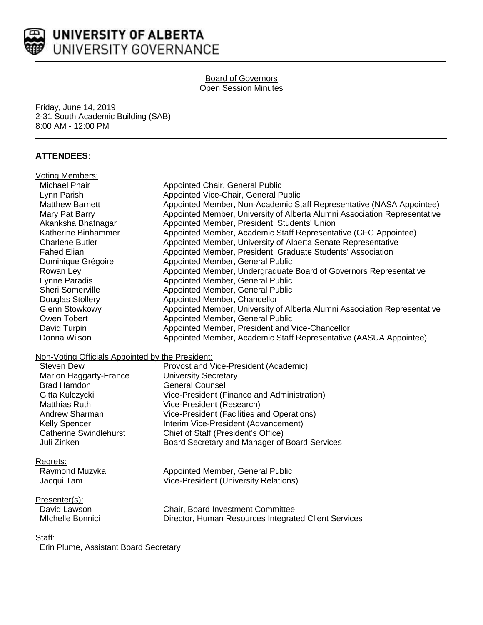

# UNIVERSITY OF ALBERTA UNIVERSITY GOVERNANCE

#### Board of Governors Open Session Minutes

Friday, June 14, 2019 2-31 South Academic Building (SAB) 8:00 AM - 12:00 PM

# **ATTENDEES:**

| <b>Voting Members:</b>                           |                                                                           |
|--------------------------------------------------|---------------------------------------------------------------------------|
| Michael Phair                                    | <b>Appointed Chair, General Public</b>                                    |
| Lynn Parish                                      | Appointed Vice-Chair, General Public                                      |
| <b>Matthew Barnett</b>                           | Appointed Member, Non-Academic Staff Representative (NASA Appointee)      |
| Mary Pat Barry                                   | Appointed Member, University of Alberta Alumni Association Representative |
| Akanksha Bhatnagar                               | Appointed Member, President, Students' Union                              |
| Katherine Binhammer                              | Appointed Member, Academic Staff Representative (GFC Appointee)           |
| <b>Charlene Butler</b>                           | Appointed Member, University of Alberta Senate Representative             |
| <b>Fahed Elian</b>                               | Appointed Member, President, Graduate Students' Association               |
| Dominique Grégoire                               | Appointed Member, General Public                                          |
| Rowan Ley                                        | Appointed Member, Undergraduate Board of Governors Representative         |
| Lynne Paradis                                    | Appointed Member, General Public                                          |
| Sheri Somerville                                 | Appointed Member, General Public                                          |
| Douglas Stollery                                 | Appointed Member, Chancellor                                              |
| <b>Glenn Stowkowy</b>                            | Appointed Member, University of Alberta Alumni Association Representative |
| Owen Tobert                                      | Appointed Member, General Public                                          |
| David Turpin                                     | Appointed Member, President and Vice-Chancellor                           |
| Donna Wilson                                     | Appointed Member, Academic Staff Representative (AASUA Appointee)         |
| Non-Voting Officials Appointed by the President: |                                                                           |
| <b>Steven Dew</b>                                | Provost and Vice-President (Academic)                                     |
| Marion Haggarty-France                           | <b>University Secretary</b>                                               |
| <b>Brad Hamdon</b>                               | <b>General Counsel</b>                                                    |
| Gitta Kulczycki                                  | Vice-President (Finance and Administration)                               |
| <b>Matthias Ruth</b>                             | Vice-President (Research)                                                 |
| Andrew Sharman                                   | Vice-President (Facilities and Operations)                                |
| <b>Kelly Spencer</b>                             | Interim Vice-President (Advancement)                                      |
| <b>Catherine Swindlehurst</b>                    | Chief of Staff (President's Office)                                       |
| Juli Zinken                                      | Board Secretary and Manager of Board Services                             |
| Regrets:                                         |                                                                           |
| Raymond Muzyka                                   | Appointed Member, General Public                                          |
| Jacqui Tam                                       | <b>Vice-President (University Relations)</b>                              |
|                                                  |                                                                           |
| Presenter(s):                                    |                                                                           |
| David Lawson                                     | Chair, Board Investment Committee                                         |
| Michelle Bonnici                                 | Director, Human Resources Integrated Client Services                      |
| ~.                                               |                                                                           |

#### Staff:

Erin Plume, Assistant Board Secretary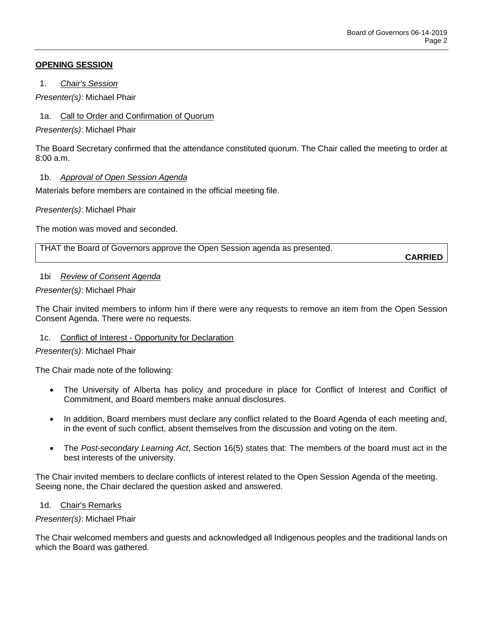## **OPENING SESSION**

1. *Chair's Session*

*Presenter(s)*: Michael Phair

1a. Call to Order and Confirmation of Quorum

*Presenter(s)*: Michael Phair

The Board Secretary confirmed that the attendance constituted quorum. The Chair called the meeting to order at  $8:00a \, m$ 

## 1b. *Approval of Open Session Agenda*

Materials before members are contained in the official meeting file.

*Presenter(s)*: Michael Phair

The motion was moved and seconded.

THAT the Board of Governors approve the Open Session agenda as presented.

**CARRIED**

#### 1bi *Review of Consent Agenda*

*Presenter(s)*: Michael Phair

The Chair invited members to inform him if there were any requests to remove an item from the Open Session Consent Agenda. There were no requests.

#### 1c. Conflict of Interest - Opportunity for Declaration

#### *Presenter(s)*: Michael Phair

The Chair made note of the following:

- The University of Alberta has policy and procedure in place for Conflict of Interest and Conflict of Commitment, and Board members make annual disclosures.
- In addition, Board members must declare any conflict related to the Board Agenda of each meeting and, in the event of such conflict, absent themselves from the discussion and voting on the item.
- The *Post-secondary Learning Act*, Section 16(5) states that: The members of the board must act in the best interests of the university.

The Chair invited members to declare conflicts of interest related to the Open Session Agenda of the meeting. Seeing none, the Chair declared the question asked and answered.

#### 1d. Chair's Remarks

*Presenter(s)*: Michael Phair

The Chair welcomed members and guests and acknowledged all Indigenous peoples and the traditional lands on which the Board was gathered.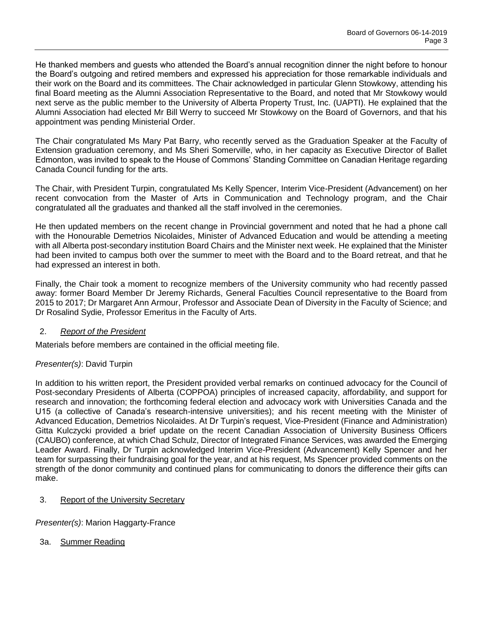He thanked members and guests who attended the Board's annual recognition dinner the night before to honour the Board's outgoing and retired members and expressed his appreciation for those remarkable individuals and their work on the Board and its committees. The Chair acknowledged in particular Glenn Stowkowy, attending his final Board meeting as the Alumni Association Representative to the Board, and noted that Mr Stowkowy would next serve as the public member to the University of Alberta Property Trust, Inc. (UAPTI). He explained that the Alumni Association had elected Mr Bill Werry to succeed Mr Stowkowy on the Board of Governors, and that his appointment was pending Ministerial Order.

The Chair congratulated Ms Mary Pat Barry, who recently served as the Graduation Speaker at the Faculty of Extension graduation ceremony, and Ms Sheri Somerville, who, in her capacity as Executive Director of Ballet Edmonton, was invited to speak to the House of Commons' Standing Committee on Canadian Heritage regarding Canada Council funding for the arts.

The Chair, with President Turpin, congratulated Ms Kelly Spencer, Interim Vice-President (Advancement) on her recent convocation from the Master of Arts in Communication and Technology program, and the Chair congratulated all the graduates and thanked all the staff involved in the ceremonies.

He then updated members on the recent change in Provincial government and noted that he had a phone call with the Honourable Demetrios Nicolaides, Minister of Advanced Education and would be attending a meeting with all Alberta post-secondary institution Board Chairs and the Minister next week. He explained that the Minister had been invited to campus both over the summer to meet with the Board and to the Board retreat, and that he had expressed an interest in both.

Finally, the Chair took a moment to recognize members of the University community who had recently passed away: former Board Member Dr Jeremy Richards, General Faculties Council representative to the Board from 2015 to 2017; Dr Margaret Ann Armour, Professor and Associate Dean of Diversity in the Faculty of Science; and Dr Rosalind Sydie, Professor Emeritus in the Faculty of Arts.

# 2. *Report of the President*

Materials before members are contained in the official meeting file.

# *Presenter(s)*: David Turpin

In addition to his written report, the President provided verbal remarks on continued advocacy for the Council of Post-secondary Presidents of Alberta (COPPOA) principles of increased capacity, affordability, and support for research and innovation; the forthcoming federal election and advocacy work with Universities Canada and the U15 (a collective of Canada's research-intensive universities); and his recent meeting with the Minister of Advanced Education, Demetrios Nicolaides. At Dr Turpin's request, Vice-President (Finance and Administration) Gitta Kulczycki provided a brief update on the recent Canadian Association of University Business Officers (CAUBO) conference, at which Chad Schulz, Director of Integrated Finance Services, was awarded the Emerging Leader Award. Finally, Dr Turpin acknowledged Interim Vice-President (Advancement) Kelly Spencer and her team for surpassing their fundraising goal for the year, and at his request, Ms Spencer provided comments on the strength of the donor community and continued plans for communicating to donors the difference their gifts can make.

# 3. Report of the University Secretary

*Presenter(s)*: Marion Haggarty-France

3a. Summer Reading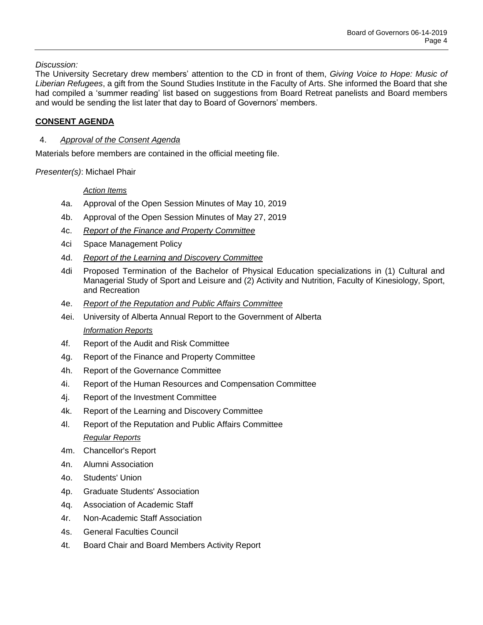*Discussion:* 

The University Secretary drew members' attention to the CD in front of them, *Giving Voice to Hope: Music of Liberian Refugees*, a gift from the Sound Studies Institute in the Faculty of Arts. She informed the Board that she had compiled a 'summer reading' list based on suggestions from Board Retreat panelists and Board members and would be sending the list later that day to Board of Governors' members.

# **CONSENT AGENDA**

## 4. *Approval of the Consent Agenda*

Materials before members are contained in the official meeting file.

*Presenter(s)*: Michael Phair

#### *Action Items*

- 4a. Approval of the Open Session Minutes of May 10, 2019
- 4b. Approval of the Open Session Minutes of May 27, 2019
- 4c. *Report of the Finance and Property Committee*
- 4ci Space Management Policy
- 4d. *Report of the Learning and Discovery Committee*
- 4di Proposed Termination of the Bachelor of Physical Education specializations in (1) Cultural and Managerial Study of Sport and Leisure and (2) Activity and Nutrition, Faculty of Kinesiology, Sport, and Recreation
- 4e. *Report of the Reputation and Public Affairs Committee*
- 4ei. University of Alberta Annual Report to the Government of Alberta *Information Reports*
- 4f. Report of the Audit and Risk Committee
- 4g. Report of the Finance and Property Committee
- 4h. Report of the Governance Committee
- 4i. Report of the Human Resources and Compensation Committee
- 4j. Report of the Investment Committee
- 4k. Report of the Learning and Discovery Committee
- 4l. Report of the Reputation and Public Affairs Committee *Regular Reports*
- 4m. Chancellor's Report
- 4n. Alumni Association
- 4o. Students' Union
- 4p. Graduate Students' Association
- 4q. Association of Academic Staff
- 4r. Non-Academic Staff Association
- 4s. General Faculties Council
- 4t. Board Chair and Board Members Activity Report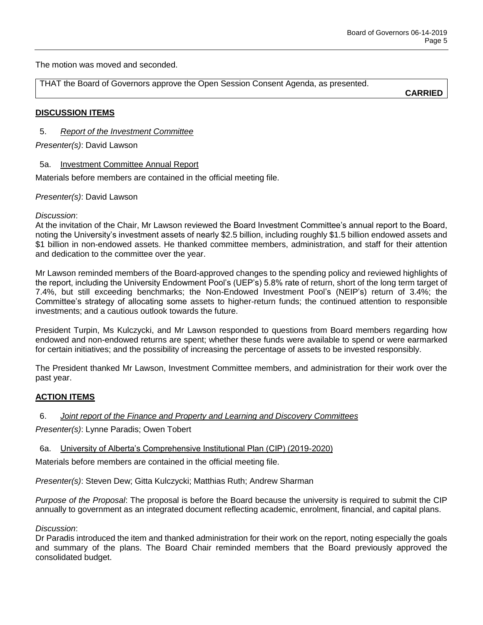The motion was moved and seconded.

THAT the Board of Governors approve the Open Session Consent Agenda, as presented.

**CARRIED**

## **DISCUSSION ITEMS**

5. *Report of the Investment Committee*

## *Presenter(s)*: David Lawson

#### 5a. Investment Committee Annual Report

Materials before members are contained in the official meeting file.

#### *Presenter(s)*: David Lawson

#### *Discussion*:

At the invitation of the Chair, Mr Lawson reviewed the Board Investment Committee's annual report to the Board, noting the University's investment assets of nearly \$2.5 billion, including roughly \$1.5 billion endowed assets and \$1 billion in non-endowed assets. He thanked committee members, administration, and staff for their attention and dedication to the committee over the year.

Mr Lawson reminded members of the Board-approved changes to the spending policy and reviewed highlights of the report, including the University Endowment Pool's (UEP's) 5.8% rate of return, short of the long term target of 7.4%, but still exceeding benchmarks; the Non-Endowed Investment Pool's (NEIP's) return of 3.4%; the Committee's strategy of allocating some assets to higher-return funds; the continued attention to responsible investments; and a cautious outlook towards the future.

President Turpin, Ms Kulczycki, and Mr Lawson responded to questions from Board members regarding how endowed and non-endowed returns are spent; whether these funds were available to spend or were earmarked for certain initiatives; and the possibility of increasing the percentage of assets to be invested responsibly.

The President thanked Mr Lawson, Investment Committee members, and administration for their work over the past year.

# **ACTION ITEMS**

#### 6. *Joint report of the Finance and Property and Learning and Discovery Committees*

*Presenter(s)*: Lynne Paradis; Owen Tobert

6a. University of Alberta's Comprehensive Institutional Plan (CIP) (2019-2020)

Materials before members are contained in the official meeting file.

*Presenter(s)*: Steven Dew; Gitta Kulczycki; Matthias Ruth; Andrew Sharman

*Purpose of the Proposal*: The proposal is before the Board because the university is required to submit the CIP annually to government as an integrated document reflecting academic, enrolment, financial, and capital plans.

#### *Discussion*:

Dr Paradis introduced the item and thanked administration for their work on the report, noting especially the goals and summary of the plans. The Board Chair reminded members that the Board previously approved the consolidated budget.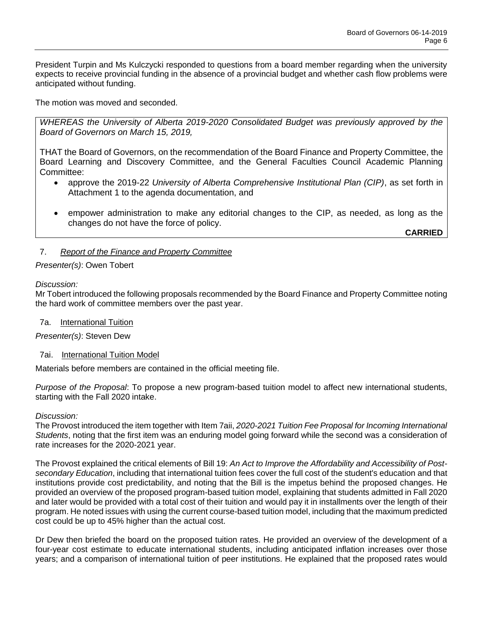President Turpin and Ms Kulczycki responded to questions from a board member regarding when the university expects to receive provincial funding in the absence of a provincial budget and whether cash flow problems were anticipated without funding.

The motion was moved and seconded.

*WHEREAS the University of Alberta 2019-2020 Consolidated Budget was previously approved by the Board of Governors on March 15, 2019,*

THAT the Board of Governors, on the recommendation of the Board Finance and Property Committee, the Board Learning and Discovery Committee, and the General Faculties Council Academic Planning Committee:

- approve the 2019-22 *University of Alberta Comprehensive Institutional Plan (CIP)*, as set forth in Attachment 1 to the agenda documentation, and
- empower administration to make any editorial changes to the CIP, as needed, as long as the changes do not have the force of policy.

**CARRIED**

# 7. *Report of the Finance and Property Committee*

#### *Presenter(s)*: Owen Tobert

*Discussion:* 

Mr Tobert introduced the following proposals recommended by the Board Finance and Property Committee noting the hard work of committee members over the past year.

#### 7a. International Tuition

*Presenter(s)*: Steven Dew

#### 7ai. International Tuition Model

Materials before members are contained in the official meeting file.

*Purpose of the Proposal*: To propose a new program-based tuition model to affect new international students, starting with the Fall 2020 intake.

#### *Discussion:*

The Provost introduced the item together with Item 7aii, *2020-2021 Tuition Fee Proposal for Incoming International Students*, noting that the first item was an enduring model going forward while the second was a consideration of rate increases for the 2020-2021 year.

The Provost explained the critical elements of Bill 19: *An Act to Improve the Affordability and Accessibility of Postsecondary Education*, including that international tuition fees cover the full cost of the student's education and that institutions provide cost predictability, and noting that the Bill is the impetus behind the proposed changes. He provided an overview of the proposed program-based tuition model, explaining that students admitted in Fall 2020 and later would be provided with a total cost of their tuition and would pay it in installments over the length of their program. He noted issues with using the current course-based tuition model, including that the maximum predicted cost could be up to 45% higher than the actual cost.

Dr Dew then briefed the board on the proposed tuition rates. He provided an overview of the development of a four-year cost estimate to educate international students, including anticipated inflation increases over those years; and a comparison of international tuition of peer institutions. He explained that the proposed rates would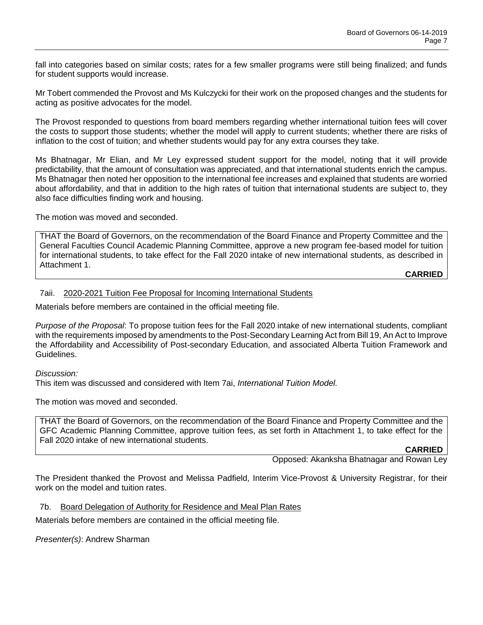fall into categories based on similar costs; rates for a few smaller programs were still being finalized; and funds for student supports would increase.

Mr Tobert commended the Provost and Ms Kulczycki for their work on the proposed changes and the students for acting as positive advocates for the model.

The Provost responded to questions from board members regarding whether international tuition fees will cover the costs to support those students; whether the model will apply to current students; whether there are risks of inflation to the cost of tuition; and whether students would pay for any extra courses they take.

Ms Bhatnagar, Mr Elian, and Mr Ley expressed student support for the model, noting that it will provide predictability, that the amount of consultation was appreciated, and that international students enrich the campus. Ms Bhatnagar then noted her opposition to the international fee increases and explained that students are worried about affordability, and that in addition to the high rates of tuition that international students are subject to, they also face difficulties finding work and housing.

The motion was moved and seconded.

THAT the Board of Governors, on the recommendation of the Board Finance and Property Committee and the General Faculties Council Academic Planning Committee, approve a new program fee-based model for tuition for international students, to take effect for the Fall 2020 intake of new international students, as described in Attachment 1.

**CARRIED**

#### 7aii. 2020-2021 Tuition Fee Proposal for Incoming International Students

Materials before members are contained in the official meeting file.

*Purpose of the Proposal*: To propose tuition fees for the Fall 2020 intake of new international students, compliant with the requirements imposed by amendments to the Post-Secondary Learning Act from Bill 19, An Act to Improve the Affordability and Accessibility of Post-secondary Education, and associated Alberta Tuition Framework and Guidelines.

*Discussion:*

This item was discussed and considered with Item 7ai, *International Tuition Model.*

The motion was moved and seconded.

THAT the Board of Governors, on the recommendation of the Board Finance and Property Committee and the GFC Academic Planning Committee, approve tuition fees, as set forth in Attachment 1, to take effect for the Fall 2020 intake of new international students.

**CARRIED**

Opposed: Akanksha Bhatnagar and Rowan Ley

The President thanked the Provost and Melissa Padfield, Interim Vice-Provost & University Registrar, for their work on the model and tuition rates.

7b. Board Delegation of Authority for Residence and Meal Plan Rates

Materials before members are contained in the official meeting file.

*Presenter(s)*: Andrew Sharman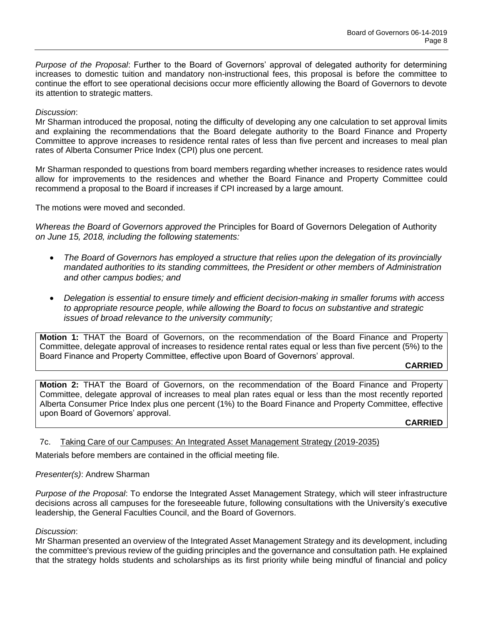*Purpose of the Proposal*: Further to the Board of Governors' approval of delegated authority for determining increases to domestic tuition and mandatory non-instructional fees, this proposal is before the committee to continue the effort to see operational decisions occur more efficiently allowing the Board of Governors to devote its attention to strategic matters.

## *Discussion*:

Mr Sharman introduced the proposal, noting the difficulty of developing any one calculation to set approval limits and explaining the recommendations that the Board delegate authority to the Board Finance and Property Committee to approve increases to residence rental rates of less than five percent and increases to meal plan rates of Alberta Consumer Price Index (CPI) plus one percent.

Mr Sharman responded to questions from board members regarding whether increases to residence rates would allow for improvements to the residences and whether the Board Finance and Property Committee could recommend a proposal to the Board if increases if CPI increased by a large amount.

The motions were moved and seconded.

*Whereas the Board of Governors approved the* Principles for Board of Governors Delegation of Authority *on June 15, 2018, including the following statements:*

- *The Board of Governors has employed a structure that relies upon the delegation of its provincially mandated authorities to its standing committees, the President or other members of Administration and other campus bodies; and*
- *Delegation is essential to ensure timely and efficient decision-making in smaller forums with access to appropriate resource people, while allowing the Board to focus on substantive and strategic issues of broad relevance to the university community;*

**Motion 1:** THAT the Board of Governors, on the recommendation of the Board Finance and Property Committee, delegate approval of increases to residence rental rates equal or less than five percent (5%) to the Board Finance and Property Committee, effective upon Board of Governors' approval.

#### **CARRIED**

**Motion 2:** THAT the Board of Governors, on the recommendation of the Board Finance and Property Committee, delegate approval of increases to meal plan rates equal or less than the most recently reported Alberta Consumer Price Index plus one percent (1%) to the Board Finance and Property Committee, effective upon Board of Governors' approval.

**CARRIED**

7c. Taking Care of our Campuses: An Integrated Asset Management Strategy (2019-2035)

Materials before members are contained in the official meeting file.

#### *Presenter(s)*: Andrew Sharman

*Purpose of the Proposal*: To endorse the Integrated Asset Management Strategy, which will steer infrastructure decisions across all campuses for the foreseeable future, following consultations with the University's executive leadership, the General Faculties Council, and the Board of Governors.

#### *Discussion*:

Mr Sharman presented an overview of the Integrated Asset Management Strategy and its development, including the committee's previous review of the guiding principles and the governance and consultation path. He explained that the strategy holds students and scholarships as its first priority while being mindful of financial and policy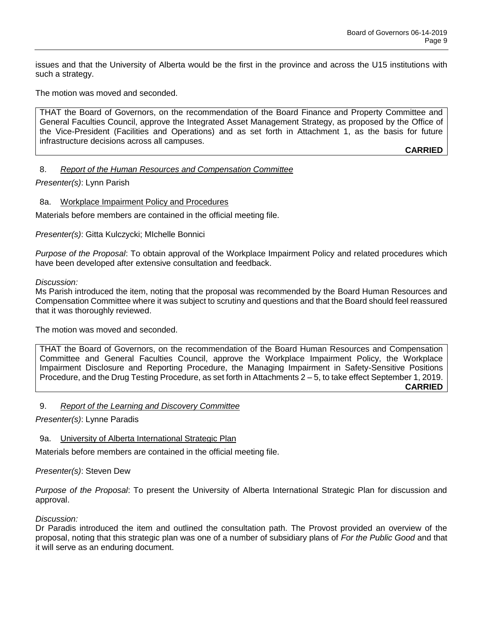issues and that the University of Alberta would be the first in the province and across the U15 institutions with such a strategy.

The motion was moved and seconded.

THAT the Board of Governors, on the recommendation of the Board Finance and Property Committee and General Faculties Council, approve the Integrated Asset Management Strategy, as proposed by the Office of the Vice-President (Facilities and Operations) and as set forth in Attachment 1, as the basis for future infrastructure decisions across all campuses.

**CARRIED**

## 8. *Report of the Human Resources and Compensation Committee*

*Presenter(s)*: Lynn Parish

#### 8a. Workplace Impairment Policy and Procedures

Materials before members are contained in the official meeting file.

*Presenter(s)*: Gitta Kulczycki; MIchelle Bonnici

*Purpose of the Proposal*: To obtain approval of the Workplace Impairment Policy and related procedures which have been developed after extensive consultation and feedback.

*Discussion:*

Ms Parish introduced the item, noting that the proposal was recommended by the Board Human Resources and Compensation Committee where it was subject to scrutiny and questions and that the Board should feel reassured that it was thoroughly reviewed.

The motion was moved and seconded.

THAT the Board of Governors, on the recommendation of the Board Human Resources and Compensation Committee and General Faculties Council, approve the Workplace Impairment Policy, the Workplace Impairment Disclosure and Reporting Procedure, the Managing Impairment in Safety-Sensitive Positions Procedure, and the Drug Testing Procedure, as set forth in Attachments 2 – 5, to take effect September 1, 2019. **CARRIED**

#### 9. *Report of the Learning and Discovery Committee*

*Presenter(s)*: Lynne Paradis

9a. University of Alberta International Strategic Plan

Materials before members are contained in the official meeting file.

*Presenter(s)*: Steven Dew

*Purpose of the Proposal*: To present the University of Alberta International Strategic Plan for discussion and approval.

#### *Discussion:*

Dr Paradis introduced the item and outlined the consultation path. The Provost provided an overview of the proposal, noting that this strategic plan was one of a number of subsidiary plans of *For the Public Good* and that it will serve as an enduring document.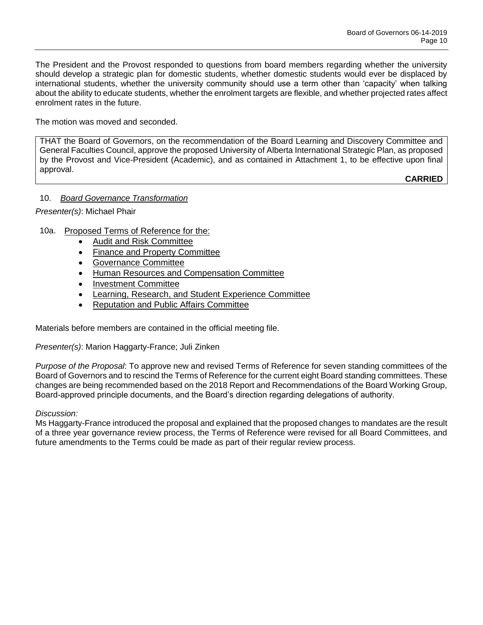The President and the Provost responded to questions from board members regarding whether the university should develop a strategic plan for domestic students, whether domestic students would ever be displaced by international students, whether the university community should use a term other than 'capacity' when talking about the ability to educate students, whether the enrolment targets are flexible, and whether projected rates affect enrolment rates in the future.

The motion was moved and seconded.

THAT the Board of Governors, on the recommendation of the Board Learning and Discovery Committee and General Faculties Council, approve the proposed University of Alberta International Strategic Plan, as proposed by the Provost and Vice-President (Academic), and as contained in Attachment 1, to be effective upon final approval.

**CARRIED**

# 10. *Board Governance Transformation*

*Presenter(s)*: Michael Phair

# 10a. Proposed Terms of Reference for the:

- Audit and Risk Committee
- Finance and Property Committee
- Governance Committee
- Human Resources and Compensation Committee
- Investment Committee
- Learning, Research, and Student Experience Committee
- Reputation and Public Affairs Committee

Materials before members are contained in the official meeting file.

#### *Presenter(s)*: Marion Haggarty-France; Juli Zinken

*Purpose of the Proposal*: To approve new and revised Terms of Reference for seven standing committees of the Board of Governors and to rescind the Terms of Reference for the current eight Board standing committees. These changes are being recommended based on the 2018 Report and Recommendations of the Board Working Group, Board-approved principle documents, and the Board's direction regarding delegations of authority.

#### *Discussion:*

Ms Haggarty-France introduced the proposal and explained that the proposed changes to mandates are the result of a three year governance review process, the Terms of Reference were revised for all Board Committees, and future amendments to the Terms could be made as part of their regular review process.